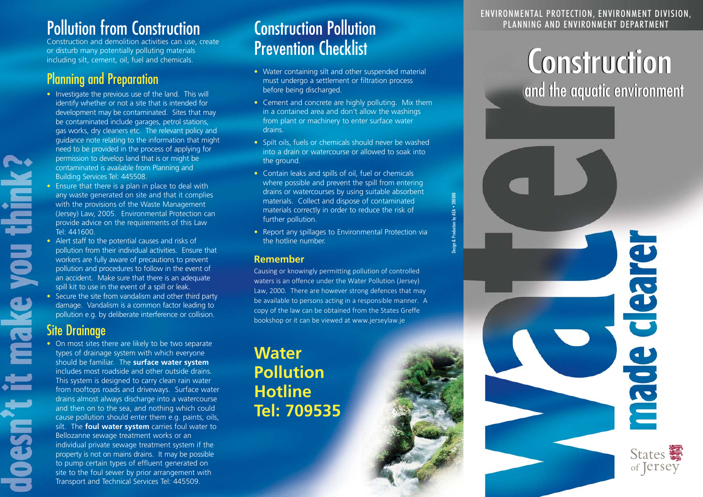### Pollution from Construction **Environment Construction Pollution**

Construction and demolition activities can use, create or disturb many potentially polluting materials including silt, cement, oil, fuel and chemicals.

### Planning and Preparation

- Investigate the previous use of the land. This will identify whether or not a site that is intended for development may be contaminated. Sites that may be contaminated include garages, petrol stations, gas works, dry cleaners etc. The relevant policy and guidance note relating to the information that might need to be provided in the process of applying for permission to develop land that is or might be contaminated is available from Planning and Building Services Tel: 445508.
- Ensure that there is a plan in place to deal with any waste generated on site and that it complies with the provisions of the Waste Management (Jersey) Law, 2005. Environmental Protection can provide advice on the requirements of this Law Tel: 441600.
- Alert staff to the potential causes and risks of pollution from their individual activities. Ensure that workers are fully aware of precautions to prevent pollution and procedures to follow in the event of an accident. Make sure that there is an adequate spill kit to use in the event of a spill or leak.
- Secure the site from vandalism and other third party damage. Vandalism is a common factor leading to pollution e.g. by deliberate interference or collision.

### Site Drainage

• On most sites there are likely to be two separate types of drainage system with which everyone should be familiar. The **surface water system**  includes most roadside and other outside drains. This system is designed to carry clean rain water from rooftops roads and driveways. Surface water drains almost always discharge into a watercourse and then on to the sea, and nothing which could cause pollution should enter them e.g. paints, oils, silt. The **foul water system** carries foul water to Bellozanne sewage treatment works or an individual private sewage treatment system if the property is not on mains drains. It may be possible to pump certain types of effluent generated on site to the foul sewer by prior arrangement with Transport and Technical Services Tel: 445509.

# Prevention Checklist

- Water containing silt and other suspended material must undergo a settlement or filtration process before being discharged.
- Cement and concrete are highly polluting. Mix them in a contained area and don't allow the washings from plant or machinery to enter surface water drains.
- Spilt oils, fuels or chemicals should never be washed into a drain or watercourse or allowed to soak into the ground.
- Contain leaks and spills of oil, fuel or chemicals where possible and prevent the spill from entering drains or watercourses by using suitable absorbent materials. Collect and dispose of contaminated materials correctly in order to reduce the risk of further pollution.
- Report any spillages to Environmental Protection via the hotline number.

Design & Production by AEA • 280888

#### **Remember**

Causing or knowingly permitting pollution of controlled waters is an offence under the Water Pollution (Jersey) Law, 2000. There are however strong defences that may be available to persons acting in a responsible manner. A copy of the law can be obtained from the States Greffe bookshop or it can be viewed at www.jerseylaw.je

**Water Pollution Hotline Tel: 709535** 

### ENVIRONMENTAL PROTECTION, ENVIRONMENT DIVISION,

# **Construction** and the aquatic environment



deare

ade